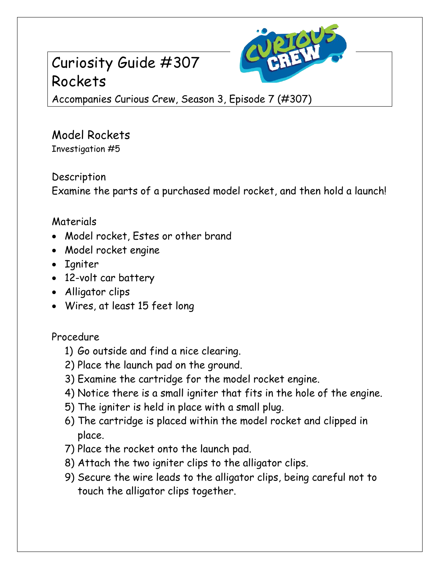## Curiosity Guide #307 Rockets



Accompanies Curious Crew, Season 3, Episode 7 (#307)

Model Rockets Investigation #5

Description Examine the parts of a purchased model rocket, and then hold a launch!

## Materials

- Model rocket, Estes or other brand
- Model rocket engine
- Igniter
- 12-volt car battery
- Alligator clips
- Wires, at least 15 feet long

## Procedure

- 1) Go outside and find a nice clearing.
- 2) Place the launch pad on the ground.
- 3) Examine the cartridge for the model rocket engine.
- 4) Notice there is a small igniter that fits in the hole of the engine.
- 5) The igniter is held in place with a small plug.
- 6) The cartridge is placed within the model rocket and clipped in place.
- 7) Place the rocket onto the launch pad.
- 8) Attach the two igniter clips to the alligator clips.
- 9) Secure the wire leads to the alligator clips, being careful not to touch the alligator clips together.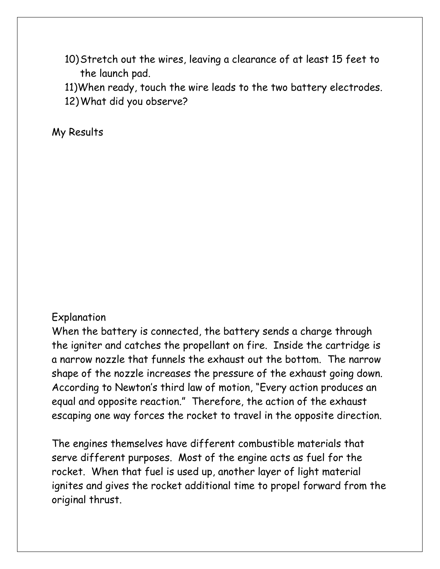- 10)Stretch out the wires, leaving a clearance of at least 15 feet to the launch pad.
- 11)When ready, touch the wire leads to the two battery electrodes.
- 12)What did you observe?

My Results

## Explanation

When the battery is connected, the battery sends a charge through the igniter and catches the propellant on fire. Inside the cartridge is a narrow nozzle that funnels the exhaust out the bottom. The narrow shape of the nozzle increases the pressure of the exhaust going down. According to Newton's third law of motion, "Every action produces an equal and opposite reaction." Therefore, the action of the exhaust escaping one way forces the rocket to travel in the opposite direction.

The engines themselves have different combustible materials that serve different purposes. Most of the engine acts as fuel for the rocket. When that fuel is used up, another layer of light material ignites and gives the rocket additional time to propel forward from the original thrust.